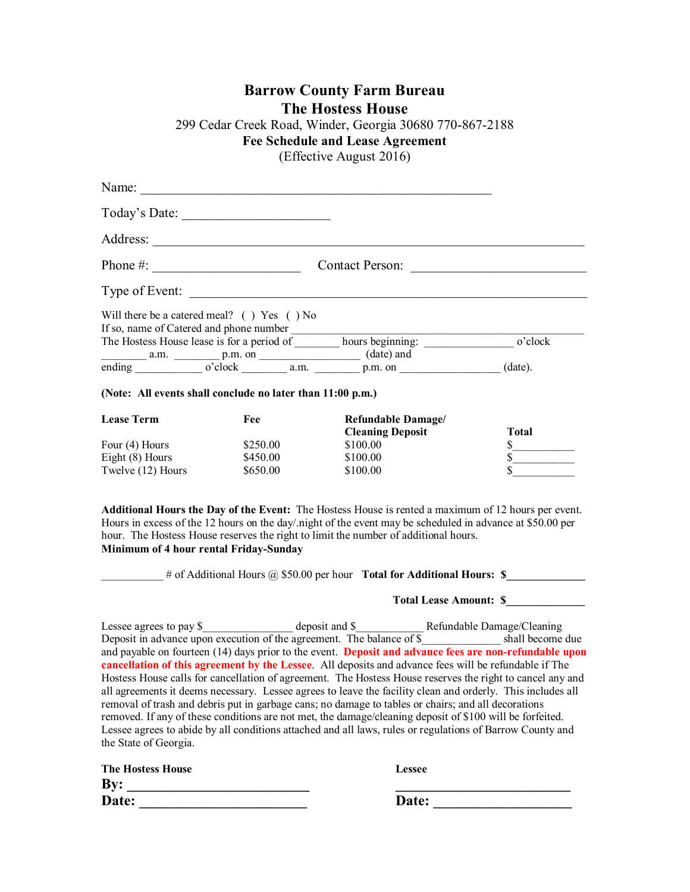## **Barrow County Farm Bureau The Hostess House** 299 Cedar Creek Road, Winder, Georgia 30680 770-867-2188 **Fee Schedule and Lease Agreement** (Effective August 2016)

|                          | Name:                                                      |                                                                                                                                                                                                                                                                                                                                                                                                                                                                                                                                                                                                                                                                                                                                                                             |                                   |
|--------------------------|------------------------------------------------------------|-----------------------------------------------------------------------------------------------------------------------------------------------------------------------------------------------------------------------------------------------------------------------------------------------------------------------------------------------------------------------------------------------------------------------------------------------------------------------------------------------------------------------------------------------------------------------------------------------------------------------------------------------------------------------------------------------------------------------------------------------------------------------------|-----------------------------------|
|                          |                                                            |                                                                                                                                                                                                                                                                                                                                                                                                                                                                                                                                                                                                                                                                                                                                                                             |                                   |
|                          |                                                            |                                                                                                                                                                                                                                                                                                                                                                                                                                                                                                                                                                                                                                                                                                                                                                             |                                   |
|                          |                                                            |                                                                                                                                                                                                                                                                                                                                                                                                                                                                                                                                                                                                                                                                                                                                                                             |                                   |
|                          |                                                            | Type of Event:                                                                                                                                                                                                                                                                                                                                                                                                                                                                                                                                                                                                                                                                                                                                                              |                                   |
|                          | Will there be a catered meal? $( )$ Yes $( )$ No           |                                                                                                                                                                                                                                                                                                                                                                                                                                                                                                                                                                                                                                                                                                                                                                             |                                   |
|                          |                                                            |                                                                                                                                                                                                                                                                                                                                                                                                                                                                                                                                                                                                                                                                                                                                                                             |                                   |
|                          |                                                            | $\overline{\text{ending}}$ a.m. $\overline{\text{p.m. on}}$ $\overline{\text{p.m. on}}$ (date) and $\overline{\text{p.m. on}}$ (date) (date).                                                                                                                                                                                                                                                                                                                                                                                                                                                                                                                                                                                                                               |                                   |
|                          | (Note: All events shall conclude no later than 11:00 p.m.) |                                                                                                                                                                                                                                                                                                                                                                                                                                                                                                                                                                                                                                                                                                                                                                             |                                   |
| <b>Lease Term</b>        | Fee                                                        | Refundable Damage/<br><b>Cleaning Deposit</b>                                                                                                                                                                                                                                                                                                                                                                                                                                                                                                                                                                                                                                                                                                                               | Total                             |
| Four (4) Hours           | \$250.00                                                   | \$100.00                                                                                                                                                                                                                                                                                                                                                                                                                                                                                                                                                                                                                                                                                                                                                                    |                                   |
| Eight $(8)$ Hours        | \$450.00                                                   | \$100.00                                                                                                                                                                                                                                                                                                                                                                                                                                                                                                                                                                                                                                                                                                                                                                    | $\frac{\frac{1}{2}}{\frac{1}{2}}$ |
| Twelve $(12)$ Hours      | \$650.00                                                   | \$100.00                                                                                                                                                                                                                                                                                                                                                                                                                                                                                                                                                                                                                                                                                                                                                                    |                                   |
|                          | Minimum of 4 hour rental Friday-Sunday                     | Additional Hours the Day of the Event: The Hostess House is rented a maximum of 12 hours per event.<br>Hours in excess of the 12 hours on the day/ night of the event may be scheduled in advance at \$50.00 per<br>hour. The Hostess House reserves the right to limit the number of additional hours.<br>$\frac{4}{100}$ # of Additional Hours @ \$50.00 per hour Total for Additional Hours: \$                                                                                                                                                                                                                                                                                                                                                                          |                                   |
|                          |                                                            |                                                                                                                                                                                                                                                                                                                                                                                                                                                                                                                                                                                                                                                                                                                                                                             | Total Lease Amount: \$            |
| the State of Georgia.    |                                                            | and payable on fourteen (14) days prior to the event. Deposit and advance fees are non-refundable upon<br>cancellation of this agreement by the Lessee. All deposits and advance fees will be refundable if The<br>Hostess House calls for cancellation of agreement. The Hostess House reserves the right to cancel any and<br>all agreements it deems necessary. Lessee agrees to leave the facility clean and orderly. This includes all<br>removal of trash and debris put in garbage cans; no damage to tables or chairs; and all decorations<br>removed. If any of these conditions are not met, the damage/cleaning deposit of \$100 will be forfeited.<br>Lessee agrees to abide by all conditions attached and all laws, rules or regulations of Barrow County and |                                   |
| <b>The Hostess House</b> |                                                            | Lessee                                                                                                                                                                                                                                                                                                                                                                                                                                                                                                                                                                                                                                                                                                                                                                      |                                   |
| By:                      |                                                            |                                                                                                                                                                                                                                                                                                                                                                                                                                                                                                                                                                                                                                                                                                                                                                             |                                   |
| Date:                    |                                                            | Date:                                                                                                                                                                                                                                                                                                                                                                                                                                                                                                                                                                                                                                                                                                                                                                       |                                   |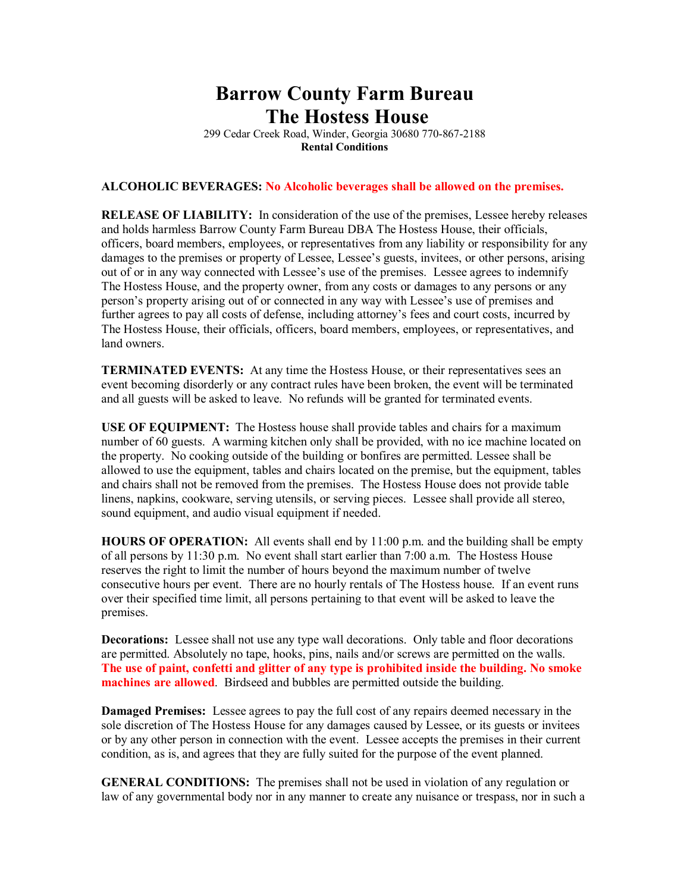## **Barrow County Farm Bureau The Hostess House**

299 Cedar Creek Road, Winder, Georgia 30680 770-867-2188 **Rental Conditions**

## **ALCOHOLIC BEVERAGES: No Alcoholic beverages shall be allowed on the premises.**

**RELEASE OF LIABILITY:** In consideration of the use of the premises, Lessee hereby releases and holds harmless Barrow County Farm Bureau DBA The Hostess House, their officials, officers, board members, employees, or representatives from any liability or responsibility for any damages to the premises or property of Lessee, Lessee's guests, invitees, or other persons, arising out of or in any way connected with Lessee's use of the premises. Lessee agrees to indemnify The Hostess House, and the property owner, from any costs or damages to any persons or any person's property arising out of or connected in any way with Lessee's use of premises and further agrees to pay all costs of defense, including attorney's fees and court costs, incurred by The Hostess House, their officials, officers, board members, employees, or representatives, and land owners.

**TERMINATED EVENTS:** At any time the Hostess House, or their representatives sees an event becoming disorderly or any contract rules have been broken, the event will be terminated and all guests will be asked to leave. No refunds will be granted for terminated events.

**USE OF EQUIPMENT:** The Hostess house shall provide tables and chairs for a maximum number of 60 guests. A warming kitchen only shall be provided, with no ice machine located on the property. No cooking outside of the building or bonfires are permitted. Lessee shall be allowed to use the equipment, tables and chairs located on the premise, but the equipment, tables and chairs shall not be removed from the premises. The Hostess House does not provide table linens, napkins, cookware, serving utensils, or serving pieces. Lessee shall provide all stereo, sound equipment, and audio visual equipment if needed.

**HOURS OF OPERATION:** All events shall end by 11:00 p.m. and the building shall be empty of all persons by 11:30 p.m. No event shall start earlier than 7:00 a.m. The Hostess House reserves the right to limit the number of hours beyond the maximum number of twelve consecutive hours per event. There are no hourly rentals of The Hostess house. If an event runs over their specified time limit, all persons pertaining to that event will be asked to leave the premises.

**Decorations:** Lessee shall not use any type wall decorations. Only table and floor decorations are permitted. Absolutely no tape, hooks, pins, nails and/or screws are permitted on the walls. **The use of paint, confetti and glitter of any type is prohibited inside the building. No smoke machines are allowed**. Birdseed and bubbles are permitted outside the building.

**Damaged Premises:** Lessee agrees to pay the full cost of any repairs deemed necessary in the sole discretion of The Hostess House for any damages caused by Lessee, or its guests or invitees or by any other person in connection with the event. Lessee accepts the premises in their current condition, as is, and agrees that they are fully suited for the purpose of the event planned.

**GENERAL CONDITIONS:** The premises shall not be used in violation of any regulation or law of any governmental body nor in any manner to create any nuisance or trespass, nor in such a